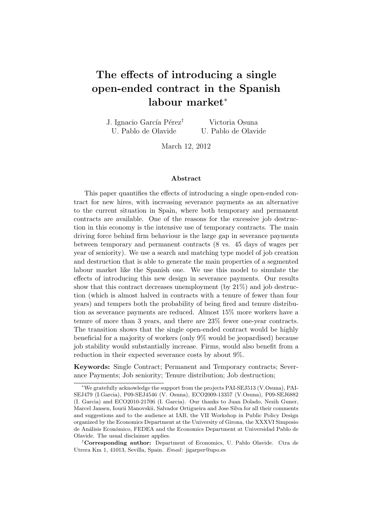# **The effects of introducing a single open-ended contract in the Spanish labour market***<sup>∗</sup>*

| J. Ignacio García Pérez <sup>†</sup> | Victoria Osuna      |
|--------------------------------------|---------------------|
| U. Pablo de Olavide                  | U. Pablo de Olavide |

March 12, 2012

#### **Abstract**

This paper quantifies the effects of introducing a single open-ended contract for new hires, with increasing severance payments as an alternative to the current situation in Spain, where both temporary and permanent contracts are available. One of the reasons for the excessive job destruction in this economy is the intensive use of temporary contracts. The main driving force behind firm behaviour is the large gap in severance payments between temporary and permanent contracts (8 vs. 45 days of wages per year of seniority). We use a search and matching type model of job creation and destruction that is able to generate the main properties of a segmented labour market like the Spanish one. We use this model to simulate the effects of introducing this new design in severance payments. Our results show that this contract decreases unemployment (by 21%) and job destruction (which is almost halved in contracts with a tenure of fewer than four years) and tempers both the probability of being fired and tenure distribution as severance payments are reduced. Almost 15% more workers have a tenure of more than 3 years, and there are 23% fewer one-year contracts. The transition shows that the single open-ended contract would be highly beneficial for a majority of workers (only 9% would be jeopardised) because job stability would substantially increase. Firms, would also benefit from a reduction in their expected severance costs by about 9%.

**Keywords:** Single Contract; Permanent and Temporary contracts; Severance Payments; Job seniority; Tenure distribution; Job destruction;

*<sup>∗</sup>*We gratefully acknowledge the support from the projects PAI-SEJ513 (V.Osuna), PAI-SEJ479 (I.Garcia), P09-SEJ4546 (V. Osuna), ECO2009-13357 (V.Osuna), P09-SEJ6882 (I. Garcia) and ECO2010-21706 (I. Garcia). Our thanks to Juan Dolado, Nezih Guner, Marcel Jansen, Iourii Manovskii, Salvador Ortigueira and Jose Silva for all their comments and suggestions and to the audience at IAB, the VII Workshop in Public Policy Design organized by the Economics Department at the University of Girona, the XXXVI Simposio de Análisis Económico, FEDEA and the Economics Department at Universidad Pablo de Olavide. The usual disclaimer applies.

*<sup>†</sup>***Corresponding author:** Department of Economics, U. Pablo Olavide. Ctra de Utrera Km 1, 41013, Sevilla, Spain. *Email*: jigarper@upo.es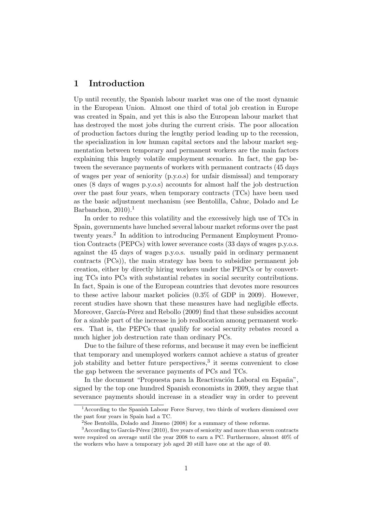# **1 Introduction**

Up until recently, the Spanish labour market was one of the most dynamic in the European Union. Almost one third of total job creation in Europe was created in Spain, and yet this is also the European labour market that has destroyed the most jobs during the current crisis. The poor allocation of production factors during the lengthy period leading up to the recession, the specialization in low human capital sectors and the labour market segmentation between temporary and permanent workers are the main factors explaining this hugely volatile employment scenario. In fact, the gap between the severance payments of workers with permanent contracts (45 days of wages per year of seniority (p.y.o.s) for unfair dismissal) and temporary ones (8 days of wages p.y.o.s) accounts for almost half the job destruction over the past four years, when temporary contracts (TCs) have been used as the basic adjustment mechanism (see Bentolilla, Cahuc, Dolado and Le Barbanchon,  $2010$ ).<sup>1</sup>

In order to reduce this volatility and the excessively high use of TCs in Spain, governments have lunched several labour market reforms over the past twenty years.<sup>2</sup> In addition to introducing Permanent Employment Promotion Contracts (PEPCs) with lower severance costs (33 days of wages p.y.o.s. against the 45 days of wages p.y.o.s. usually paid in ordinary permanent contracts (PCs)), the main strategy has been to subsidize permanent job creation, either by directly hiring workers under the PEPCs or by converting TCs into PCs with substantial rebates in social security contributions. In fact, Spain is one of the European countries that devotes more resources to these active labour market policies (0.3% of GDP in 2009). However, recent studies have shown that these measures have had negligible effects. Moreover, García-Pérez and Rebollo (2009) find that these subsidies account for a sizable part of the increase in job reallocation among permanent workers. That is, the PEPCs that qualify for social security rebates record a much higher job destruction rate than ordinary PCs.

Due to the failure of these reforms, and because it may even be inefficient that temporary and unemployed workers cannot achieve a status of greater job stability and better future perspectives,<sup>3</sup> it seems convenient to close the gap between the severance payments of PCs and TCs.

In the document "Propuesta para la Reactivación Laboral en España", signed by the top one hundred Spanish economists in 2009, they argue that severance payments should increase in a steadier way in order to prevent

<sup>&</sup>lt;sup>1</sup> According to the Spanish Labour Force Survey, two thirds of workers dismissed over the past four years in Spain had a TC.

<sup>&</sup>lt;sup>2</sup>See Bentolila, Dolado and Jimeno (2008) for a summary of these reforms.

 $3$ According to García-Pérez (2010), five years of seniority and more than seven contracts were required on average until the year 2008 to earn a PC. Furthermore, almost 40% of the workers who have a temporary job aged 20 still have one at the age of 40.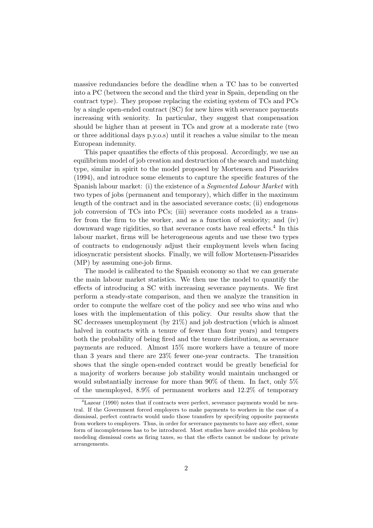massive redundancies before the deadline when a TC has to be converted into a PC (between the second and the third year in Spain, depending on the contract type). They propose replacing the existing system of TCs and PCs by a single open-ended contract (SC) for new hires with severance payments increasing with seniority. In particular, they suggest that compensation should be higher than at present in TCs and grow at a moderate rate (two or three additional days p.y.o.s) until it reaches a value similar to the mean European indemnity.

This paper quantifies the effects of this proposal. Accordingly, we use an equilibrium model of job creation and destruction of the search and matching type, similar in spirit to the model proposed by Mortensen and Pissarides (1994), and introduce some elements to capture the specific features of the Spanish labour market: (i) the existence of a *Segmented Labour Market* with two types of jobs (permanent and temporary), which differ in the maximum length of the contract and in the associated severance costs; (ii) endogenous job conversion of TCs into PCs; (iii) severance costs modeled as a transfer from the firm to the worker, and as a function of seniority; and (iv) downward wage rigidities, so that severance costs have real effects.<sup>4</sup> In this labour market, firms will be heterogeneous agents and use these two types of contracts to endogenously adjust their employment levels when facing idiosyncratic persistent shocks. Finally, we will follow Mortensen-Pissarides (MP) by assuming one-job firms.

The model is calibrated to the Spanish economy so that we can generate the main labour market statistics. We then use the model to quantify the effects of introducing a SC with increasing severance payments. We first perform a steady-state comparison, and then we analyze the transition in order to compute the welfare cost of the policy and see who wins and who loses with the implementation of this policy. Our results show that the SC decreases unemployment (by 21%) and job destruction (which is almost halved in contracts with a tenure of fewer than four years) and tempers both the probability of being fired and the tenure distribution, as severance payments are reduced. Almost 15% more workers have a tenure of more than 3 years and there are 23% fewer one-year contracts. The transition shows that the single open-ended contract would be greatly beneficial for a majority of workers because job stability would maintain unchanged or would substantially increase for more than 90% of them. In fact, only 5% of the unemployed, 8.9% of permanent workers and 12.2% of temporary

<sup>4</sup>Lazear (1990) notes that if contracts were perfect, severance payments would be neutral. If the Government forced employers to make payments to workers in the case of a dismissal, perfect contracts would undo those transfers by specifying opposite payments from workers to employers. Thus, in order for severance payments to have any effect, some form of incompleteness has to be introduced. Most studies have avoided this problem by modeling dismissal costs as firing taxes, so that the effects cannot be undone by private arrangements.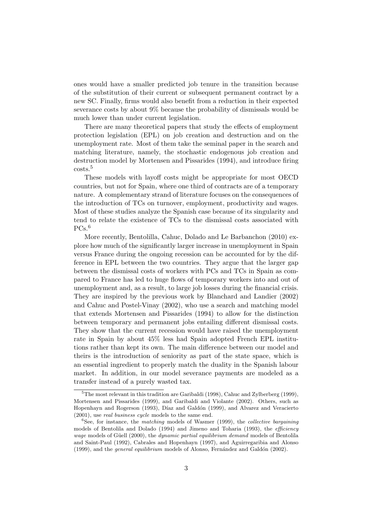ones would have a smaller predicted job tenure in the transition because of the substitution of their current or subsequent permanent contract by a new SC. Finally, firms would also benefit from a reduction in their expected severance costs by about 9% because the probability of dismissals would be much lower than under current legislation.

There are many theoretical papers that study the effects of employment protection legislation (EPL) on job creation and destruction and on the unemployment rate. Most of them take the seminal paper in the search and matching literature, namely, the stochastic endogenous job creation and destruction model by Mortensen and Pissarides (1994), and introduce firing costs.<sup>5</sup>

These models with layoff costs might be appropriate for most OECD countries, but not for Spain, where one third of contracts are of a temporary nature. A complementary strand of literature focuses on the consequences of the introduction of TCs on turnover, employment, productivity and wages. Most of these studies analyze the Spanish case because of its singularity and tend to relate the existence of TCs to the dismissal costs associated with  $PCs.<sup>6</sup>$ 

More recently, Bentolilla, Cahuc, Dolado and Le Barbanchon (2010) explore how much of the significantly larger increase in unemployment in Spain versus France during the ongoing recession can be accounted for by the difference in EPL between the two countries. They argue that the larger gap between the dismissal costs of workers with PCs and TCs in Spain as compared to France has led to huge flows of temporary workers into and out of unemployment and, as a result, to large job losses during the financial crisis. They are inspired by the previous work by Blanchard and Landier (2002) and Cahuc and Postel-Vinay (2002), who use a search and matching model that extends Mortensen and Pissarides (1994) to allow for the distinction between temporary and permanent jobs entailing different dismissal costs. They show that the current recession would have raised the unemployment rate in Spain by about 45% less had Spain adopted French EPL institutions rather than kept its own. The main difference between our model and theirs is the introduction of seniority as part of the state space, which is an essential ingredient to properly match the duality in the Spanish labour market. In addition, in our model severance payments are modeled as a transfer instead of a purely wasted tax.

 ${}^{5}$ The most relevant in this tradition are Garibaldi (1998), Cahuc and Zylberberg (1999), Mortensen and Pissarides (1999), and Garibaldi and Violante (2002). Others, such as Hopenhayn and Rogerson (1993), Díaz and Galdón (1999), and Alvarez and Veracierto (2001), use *real business cycle* models to the same end.

<sup>6</sup>See, for instance, the *matching* models of Wasmer (1999), the *collective bargaining* models of Bentolila and Dolado (1994) and Jimeno and Toharia (1993), the *efficiency wage* models of Güell (2000), the *dynamic partial equilibrium demand* models of Bentolila and Saint-Paul (1992), Cabrales and Hopenhayn (1997), and Aguirregaribia and Alonso (1999), and the *general equilibrium* models of Alonso, Fernández and Galdón (2002).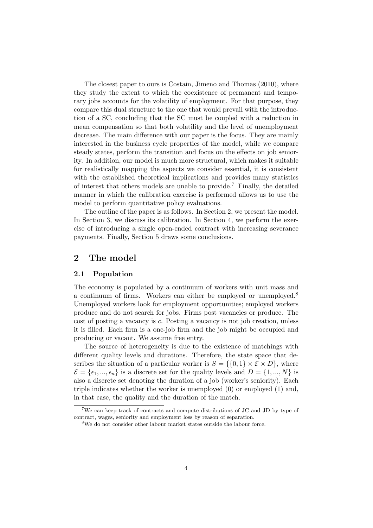The closest paper to ours is Costain, Jimeno and Thomas (2010), where they study the extent to which the coexistence of permanent and temporary jobs accounts for the volatility of employment. For that purpose, they compare this dual structure to the one that would prevail with the introduction of a SC, concluding that the SC must be coupled with a reduction in mean compensation so that both volatility and the level of unemployment decrease. The main difference with our paper is the focus. They are mainly interested in the business cycle properties of the model, while we compare steady states, perform the transition and focus on the effects on job seniority. In addition, our model is much more structural, which makes it suitable for realistically mapping the aspects we consider essential, it is consistent with the established theoretical implications and provides many statistics of interest that others models are unable to provide.<sup>7</sup> Finally, the detailed manner in which the calibration exercise is performed allows us to use the model to perform quantitative policy evaluations.

The outline of the paper is as follows. In Section 2, we present the model. In Section 3, we discuss its calibration. In Section 4, we perform the exercise of introducing a single open-ended contract with increasing severance payments. Finally, Section 5 draws some conclusions.

# **2 The model**

## **2.1 Population**

The economy is populated by a continuum of workers with unit mass and a continuum of firms. Workers can either be employed or unemployed.<sup>8</sup> Unemployed workers look for employment opportunities; employed workers produce and do not search for jobs. Firms post vacancies or produce. The cost of posting a vacancy is *c*. Posting a vacancy is not job creation, unless it is filled. Each firm is a one-job firm and the job might be occupied and producing or vacant. We assume free entry.

The source of heterogeneity is due to the existence of matchings with different quality levels and durations. Therefore, the state space that describes the situation of a particular worker is  $S = \{ \{0, 1\} \times \mathcal{E} \times D \}$ , where  $\mathcal{E} = \{\epsilon_1, ..., \epsilon_n\}$  is a discrete set for the quality levels and  $D = \{1, ..., N\}$  is also a discrete set denoting the duration of a job (worker's seniority). Each triple indicates whether the worker is unemployed (0) or employed (1) and, in that case, the quality and the duration of the match.

<sup>&</sup>lt;sup>7</sup>We can keep track of contracts and compute distributions of JC and JD by type of contract, wages, seniority and employment loss by reason of separation.

<sup>&</sup>lt;sup>8</sup>We do not consider other labour market states outside the labour force.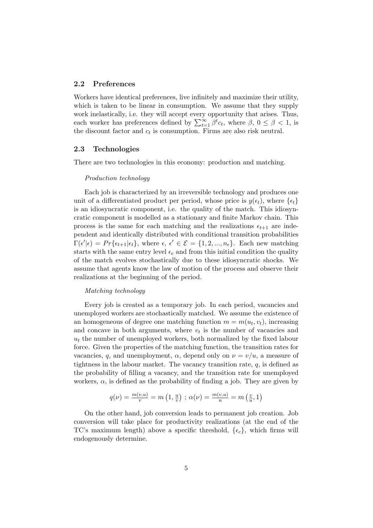#### **2.2 Preferences**

Workers have identical preferences, live infinitely and maximize their utility, which is taken to be linear in consumption. We assume that they supply work inelastically, i.e. they will accept every opportunity that arises. Thus, each worker has preferences defined by  $\sum_{t=1}^{\infty} \beta^t c_t$ , where  $\beta$ ,  $0 \leq \beta < 1$ , is the discount factor and  $c_t$  is consumption. Firms are also risk neutral.

#### **2.3 Technologies**

There are two technologies in this economy: production and matching.

#### *Production technology*

Each job is characterized by an irreversible technology and produces one unit of a differentiated product per period, whose price is  $y(\epsilon_t)$ , where  $\{\epsilon_t\}$ is an idiosyncratic component, i.e. the quality of the match. This idiosyncratic component is modelled as a stationary and finite Markov chain. This process is the same for each matching and the realizations  $\epsilon_{t+1}$  are independent and identically distributed with conditional transition probabilities  $\Gamma(\epsilon'|\epsilon) = Pr\{\epsilon_{t+1}|\epsilon_t\},$  where  $\epsilon, \epsilon' \in \mathcal{E} = \{1, 2, ..., n_{\epsilon}\}.$  Each new matching starts with the same entry level  $\epsilon_e$  and from this initial condition the quality of the match evolves stochastically due to these idiosyncratic shocks. We assume that agents know the law of motion of the process and observe their realizations at the beginning of the period.

#### *Matching technology*

Every job is created as a temporary job. In each period, vacancies and unemployed workers are stochastically matched. We assume the existence of an homogeneous of degree one matching function  $m = m(u_t, v_t)$ , increasing and concave in both arguments, where  $v_t$  is the number of vacancies and  $u_t$  the number of unemployed workers, both normalized by the fixed labour force. Given the properties of the matching function, the transition rates for vacancies, *q*, and unemployment,  $\alpha$ , depend only on  $\nu = v/u$ , a measure of tightness in the labour market. The vacancy transition rate,  $q$ , is defined as the probability of filling a vacancy, and the transition rate for unemployed workers,  $\alpha$ , is defined as the probability of finding a job. They are given by

$$
q(\nu) = \frac{m(v, u)}{v} = m\left(1, \frac{u}{v}\right); \alpha(\nu) = \frac{m(v, u)}{u} = m\left(\frac{v}{u}, 1\right)
$$

On the other hand, job conversion leads to permanent job creation. Job conversion will take place for productivity realizations (at the end of the TC's maximum length) above a specific threshold,  $\{\epsilon_c\}$ , which firms will endogenously determine.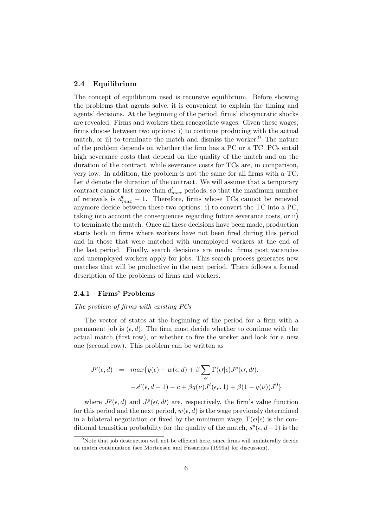## **2.4 Equilibrium**

The concept of equilibrium used is recursive equilibrium. Before showing the problems that agents solve, it is convenient to explain the timing and agents' decisions. At the beginning of the period, firms' idiosyncratic shocks are revealed. Firms and workers then renegotiate wages. Given these wages, firms choose between two options: i) to continue producing with the actual match, or ii) to terminate the match and dismiss the worker.<sup>9</sup> The nature of the problem depends on whether the firm has a PC or a TC. PCs entail high severance costs that depend on the quality of the match and on the duration of the contract, while severance costs for TCs are, in comparison, very low. In addition, the problem is not the same for all firms with a TC. Let *d* denote the duration of the contract. We will assume that a temporary contract cannot last more than  $d_{max}^t$  periods, so that the maximum number of renewals is  $d_{max}^t - 1$ . Therefore, firms whose TCs cannot be renewed anymore decide between these two options: i) to convert the TC into a PC, taking into account the consequences regarding future severance costs, or ii) to terminate the match. Once all these decisions have been made, production starts both in firms where workers have not been fired during this period and in those that were matched with unemployed workers at the end of the last period. Finally, search decisions are made: firms post vacancies and unemployed workers apply for jobs. This search process generates new matches that will be productive in the next period. There follows a formal description of the problems of firms and workers.

#### **2.4.1 Firms' Problems**

# *The problem of firms with existing PCs*

The vector of states at the beginning of the period for a firm with a permanent job is  $(\epsilon, d)$ . The firm must decide whether to continue with the actual match (first row), or whether to fire the worker and look for a new one (second row). This problem can be written as

$$
J^{p}(\epsilon, d) = \max \{ y(\epsilon) - w(\epsilon, d) + \beta \sum_{\epsilon'} \Gamma(\epsilon' | \epsilon) J^{p}(\epsilon', d'),
$$
  

$$
-s^{p}(\epsilon, d - 1) - c + \beta q(\nu) J^{t}(\epsilon_{\epsilon}, 1) + \beta (1 - q(\nu)) J^{0} \}
$$

where  $J^p(\epsilon, d)$  and  $J^p(\epsilon, d')$  are, respectively, the firm's value function for this period and the next period,  $w(\epsilon, d)$  is the wage previously determined in a bilateral negotiation or fixed by the minimum wage, Γ(*ϵ′|ϵ*) is the conditional transition probability for the quality of the match,  $s^p(\epsilon, d-1)$  is the

 $9$ Note that job destruction will not be efficient here, since firms will unilaterally decide on match continuation (see Mortensen and Pissarides (1999a) for discussion).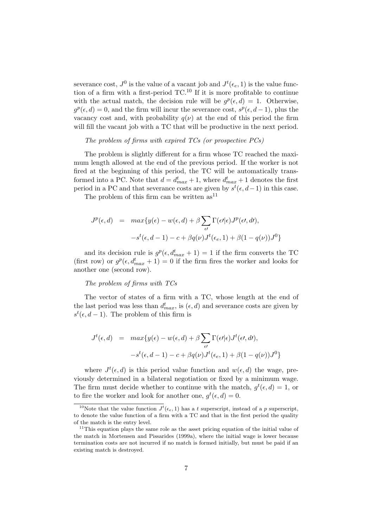severance cost,  $J^0$  is the value of a vacant job and  $J^t(\epsilon_e, 1)$  is the value function of a firm with a first-period  $TC^{10}$  If it is more profitable to continue with the actual match, the decision rule will be  $g^p(\epsilon, d) = 1$ . Otherwise,  $g^p(\epsilon, d) = 0$ , and the firm will incur the severance cost,  $s^p(\epsilon, d-1)$ , plus the vacancy cost and, with probability  $q(\nu)$  at the end of this period the firm will fill the vacant job with a TC that will be productive in the next period.

#### *The problem of firms with expired TCs (or prospective PCs)*

The problem is slightly different for a firm whose TC reached the maximum length allowed at the end of the previous period. If the worker is not fired at the beginning of this period, the TC will be automatically transformed into a PC. Note that  $d = d_{max}^t + 1$ , where  $d_{max}^t + 1$  denotes the first period in a PC and that severance costs are given by  $s^t(\epsilon, d-1)$  in this case.

The problem of this firm can be written  $as<sup>11</sup>$ 

$$
J^{p}(\epsilon, d) = max{y(\epsilon) - w(\epsilon, d) + \beta \sum_{\epsilon'} \Gamma(\epsilon'|\epsilon) J^{p}(\epsilon', d')},
$$
  

$$
-s^{t}(\epsilon, d - 1) - c + \beta q(\nu) J^{t}(\epsilon_{\epsilon}, 1) + \beta (1 - q(\nu)) J^{0}
$$

and its decision rule is  $g^p(\epsilon, d_{max}^t + 1) = 1$  if the firm converts the TC (first row) or  $g^p(\epsilon, d_{max}^t + 1) = 0$  if the firm fires the worker and looks for another one (second row).

*The problem of firms with TCs*

The vector of states of a firm with a TC, whose length at the end of the last period was less than  $d_{max}^t$ , is  $(\epsilon, d)$  and severance costs are given by  $s^t(\epsilon, d-1)$ . The problem of this firm is

$$
J^{t}(\epsilon, d) = max{y(\epsilon) - w(\epsilon, d) + \beta \sum_{\epsilon'} \Gamma(\epsilon'|\epsilon) J^{t}(\epsilon', d')},
$$
  

$$
-s^{t}(\epsilon, d - 1) - c + \beta q(\nu) J^{t}(\epsilon_{\epsilon}, 1) + \beta (1 - q(\nu)) J^{0}
$$

where  $J^t(\epsilon, d)$  is this period value function and  $w(\epsilon, d)$  the wage, previously determined in a bilateral negotiation or fixed by a minimum wage. The firm must decide whether to continue with the match,  $g^t(\epsilon, d) = 1$ , or to fire the worker and look for another one,  $g^t(\epsilon, d) = 0$ .

<sup>&</sup>lt;sup>10</sup>Note that the value function  $J^t(\epsilon_{e}, 1)$  has a *t* superscript, instead of a *p* superscript, to denote the value function of a firm with a TC and that in the first period the quality of the match is the entry level.

 $11$ This equation plays the same role as the asset pricing equation of the initial value of the match in Mortensen and Pissarides (1999a), where the initial wage is lower because termination costs are not incurred if no match is formed initially, but must be paid if an existing match is destroyed.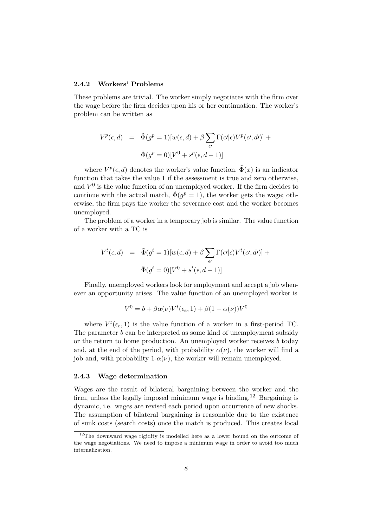#### **2.4.2 Workers' Problems**

These problems are trivial. The worker simply negotiates with the firm over the wage before the firm decides upon his or her continuation. The worker's problem can be written as

$$
V^{p}(\epsilon, d) = \tilde{\Phi}(g^{p} = 1)[w(\epsilon, d) + \beta \sum_{\epsilon'} \Gamma(\epsilon'|\epsilon) V^{p}(\epsilon', d')] +
$$
  

$$
\tilde{\Phi}(g^{p} = 0)[V^{0} + s^{p}(\epsilon, d - 1)]
$$

where  $V^p(\epsilon, d)$  denotes the worker's value function,  $\tilde{\Phi}(x)$  is an indicator function that takes the value 1 if the assessment is true and zero otherwise, and  $V^0$  is the value function of an unemployed worker. If the firm decides to continue with the actual match,  $\tilde{\Phi}(g^p = 1)$ , the worker gets the wage; otherwise, the firm pays the worker the severance cost and the worker becomes unemployed.

The problem of a worker in a temporary job is similar. The value function of a worker with a TC is

$$
V^{t}(\epsilon, d) = \tilde{\Phi}(g^{t} = 1)[w(\epsilon, d) + \beta \sum_{\epsilon'} \Gamma(\epsilon'|\epsilon) V^{t}(\epsilon', d')] +
$$
  

$$
\tilde{\Phi}(g^{t} = 0)[V^{0} + s^{t}(\epsilon, d - 1)]
$$

Finally, unemployed workers look for employment and accept a job whenever an opportunity arises. The value function of an unemployed worker is

$$
V^{0} = b + \beta \alpha(\nu) V^{t}(\epsilon_{e}, 1) + \beta (1 - \alpha(\nu)) V^{0}
$$

where  $V^t(\epsilon_e, 1)$  is the value function of a worker in a first-period TC. The parameter *b* can be interpreted as some kind of unemployment subsidy or the return to home production. An unemployed worker receives *b* today and, at the end of the period, with probability  $\alpha(\nu)$ , the worker will find a job and, with probability  $1-\alpha(\nu)$ , the worker will remain unemployed.

#### **2.4.3 Wage determination**

Wages are the result of bilateral bargaining between the worker and the firm, unless the legally imposed minimum wage is binding.<sup>12</sup> Bargaining is dynamic, i.e. wages are revised each period upon occurrence of new shocks. The assumption of bilateral bargaining is reasonable due to the existence of sunk costs (search costs) once the match is produced. This creates local

 $12$ The downward wage rigidity is modelled here as a lower bound on the outcome of the wage negotiations. We need to impose a minimum wage in order to avoid too much internalization.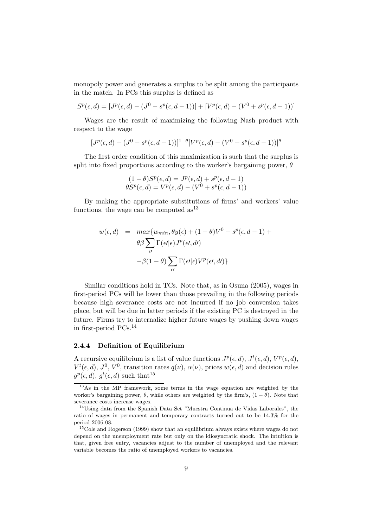monopoly power and generates a surplus to be split among the participants in the match. In PCs this surplus is defined as

$$
S^{p}(\epsilon, d) = [J^{p}(\epsilon, d) - (J^{0} - s^{p}(\epsilon, d - 1))] + [V^{p}(\epsilon, d) - (V^{0} + s^{p}(\epsilon, d - 1))]
$$

Wages are the result of maximizing the following Nash product with respect to the wage

$$
[J^{p}(\epsilon, d) - (J^{0} - s^{p}(\epsilon, d - 1))]^{1-\theta} [V^{p}(\epsilon, d) - (V^{0} + s^{p}(\epsilon, d - 1))]^{\theta}
$$

The first order condition of this maximization is such that the surplus is split into fixed proportions according to the worker's bargaining power, *θ*

$$
(1 - \theta)S^{p}(\epsilon, d) = J^{p}(\epsilon, d) + s^{p}(\epsilon, d - 1)
$$
  

$$
\theta S^{p}(\epsilon, d) = V^{p}(\epsilon, d) - (V^{0} + s^{p}(\epsilon, d - 1))
$$

By making the appropriate substitutions of firms' and workers' value functions, the wage can be computed  $as<sup>13</sup>$ 

$$
w(\epsilon, d) = \max \{ w_{min}, \theta y(\epsilon) + (1 - \theta)V^0 + s^p(\epsilon, d - 1) + \theta \beta \sum_{\epsilon'} \Gamma(\epsilon'|\epsilon) J^p(\epsilon', d') -\beta(1 - \theta) \sum_{\epsilon'} \Gamma(\epsilon'|\epsilon) V^p(\epsilon', d') \}
$$

Similar conditions hold in TCs. Note that, as in Osuna (2005), wages in first-period PCs will be lower than those prevailing in the following periods because high severance costs are not incurred if no job conversion takes place, but will be due in latter periods if the existing PC is destroyed in the future. Firms try to internalize higher future wages by pushing down wages in first-period PCs.<sup>14</sup>

#### **2.4.4 Definition of Equilibrium**

A recursive equilibrium is a list of value functions  $J^p(\epsilon, d)$ ,  $J^t(\epsilon, d)$ ,  $V^p(\epsilon, d)$ ,  $V^t(\epsilon, d)$ ,  $J^0$ ,  $V^0$ , transition rates  $q(\nu)$ ,  $\alpha(\nu)$ , prices  $w(\epsilon, d)$  and decision rules  $g^p(\epsilon, d)$ ,  $g^t(\epsilon, d)$  such that<sup>15</sup>

<sup>13</sup>As in the MP framework, some terms in the wage equation are weighted by the worker's bargaining power,  $\theta$ , while others are weighted by the firm's,  $(1 - \theta)$ . Note that severance costs increase wages.

<sup>14</sup>Using data from the Spanish Data Set "Muestra Continua de Vidas Laborales", the ratio of wages in permanent and temporary contracts turned out to be 14.3% for the period 2006-08.

<sup>&</sup>lt;sup>15</sup>Cole and Rogerson (1999) show that an equilibrium always exists where wages do not depend on the unemployment rate but only on the idiosyncratic shock. The intuition is that, given free entry, vacancies adjust to the number of unemployed and the relevant variable becomes the ratio of unemployed workers to vacancies.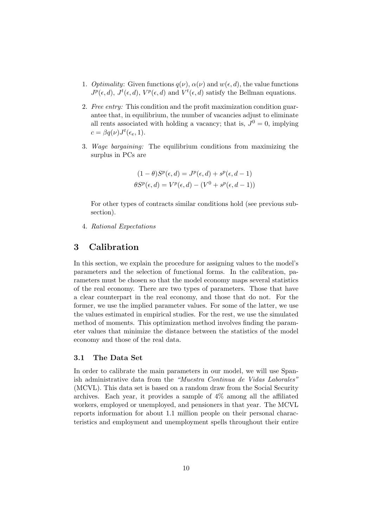- 1. *Optimality:* Given functions  $q(\nu)$ ,  $\alpha(\nu)$  and  $w(\epsilon, d)$ , the value functions  $J^p(\epsilon, d)$ ,  $J^t(\epsilon, d)$ ,  $V^p(\epsilon, d)$  and  $V^t(\epsilon, d)$  satisfy the Bellman equations.
- 2. *Free entry:* This condition and the profit maximization condition guarantee that, in equilibrium, the number of vacancies adjust to eliminate all rents associated with holding a vacancy; that is,  $J^0 = 0$ , implying  $c = \beta q(\nu)J^t(\epsilon_e, 1).$
- 3. *Wage bargaining:* The equilibrium conditions from maximizing the surplus in PCs are

$$
(1 - \theta)S^{p}(\epsilon, d) = J^{p}(\epsilon, d) + s^{p}(\epsilon, d - 1)
$$

$$
\theta S^{p}(\epsilon, d) = V^{p}(\epsilon, d) - (V^{0} + s^{p}(\epsilon, d - 1))
$$

For other types of contracts similar conditions hold (see previous subsection).

4. *Rational Expectations*

# **3 Calibration**

In this section, we explain the procedure for assigning values to the model's parameters and the selection of functional forms. In the calibration, parameters must be chosen so that the model economy maps several statistics of the real economy. There are two types of parameters. Those that have a clear counterpart in the real economy, and those that do not. For the former, we use the implied parameter values. For some of the latter, we use the values estimated in empirical studies. For the rest, we use the simulated method of moments. This optimization method involves finding the parameter values that minimize the distance between the statistics of the model economy and those of the real data.

#### **3.1 The Data Set**

In order to calibrate the main parameters in our model, we will use Spanish administrative data from the *"Muestra Continua de Vidas Laborales"* (MCVL). This data set is based on a random draw from the Social Security archives. Each year, it provides a sample of 4% among all the affiliated workers, employed or unemployed, and pensioners in that year. The MCVL reports information for about 1*.*1 million people on their personal characteristics and employment and unemployment spells throughout their entire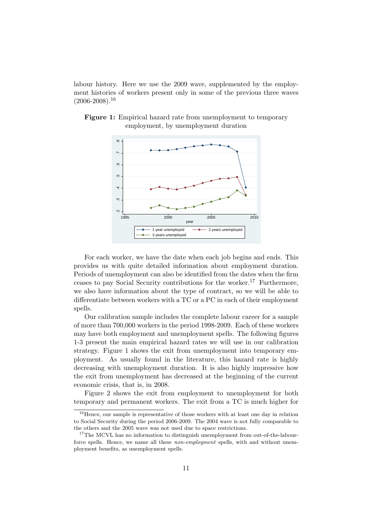labour history. Here we use the 2009 wave, supplemented by the employment histories of workers present only in some of the previous three waves  $(2006 - 2008)^{16}$ 



**Figure 1:** Empirical hazard rate from unemployment to temporary employment, by unemployment duration

For each worker, we have the date when each job begins and ends. This provides us with quite detailed information about employment duration. Periods of unemployment can also be identified from the dates when the firm ceases to pay Social Security contributions for the worker.<sup>17</sup> Furthermore, we also have information about the type of contract, so we will be able to differentiate between workers with a TC or a PC in each of their employment spells.

Our calibration sample includes the complete labour career for a sample of more than 700,000 workers in the period 1998-2009. Each of these workers may have both employment and unemployment spells. The following figures 1-3 present the main empirical hazard rates we will use in our calibration strategy. Figure 1 shows the exit from unemployment into temporary employment. As usually found in the literature, this hazard rate is highly decreasing with unemployment duration. It is also highly impressive how the exit from unemployment has decreased at the beginning of the current economic crisis, that is, in 2008.

Figure 2 shows the exit from employment to unemployment for both temporary and permanent workers. The exit from a TC is much higher for

 $16$  Hence, our sample is representative of those workers with at least one day in relation to Social Security during the period 2006-2009. The 2004 wave is not fully comparable to the others and the 2005 wave was not used due to space restrictions.

 $17$ The MCVL has no information to distinguish unemployment from out-of-the-labourforce spells. Hence, we name all these *non-employment* spells, with and without unemployment benefits, as unemployment spells.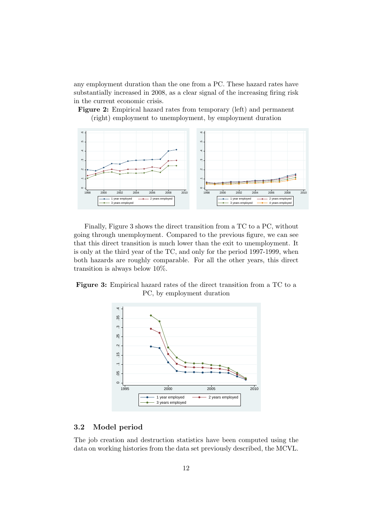any employment duration than the one from a PC. These hazard rates have substantially increased in 2008, as a clear signal of the increasing firing risk in the current economic crisis.

**Figure 2:** Empirical hazard rates from temporary (left) and permanent (right) employment to unemployment, by employment duration



Finally, Figure 3 shows the direct transition from a TC to a PC, without going through unemployment. Compared to the previous figure, we can see that this direct transition is much lower than the exit to unemployment. It is only at the third year of the TC, and only for the period 1997-1999, when both hazards are roughly comparable. For all the other years, this direct transition is always below 10%.

**Figure 3:** Empirical hazard rates of the direct transition from a TC to a PC, by employment duration



# **3.2 Model period**

The job creation and destruction statistics have been computed using the data on working histories from the data set previously described, the MCVL.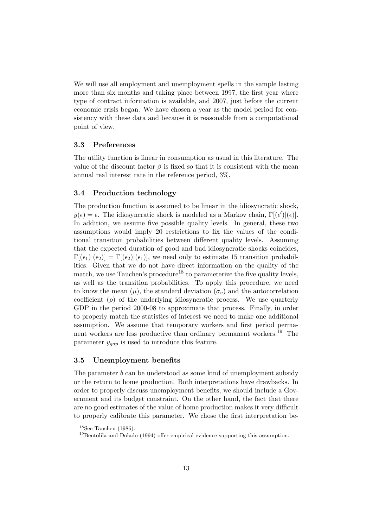We will use all employment and unemployment spells in the sample lasting more than six months and taking place between 1997, the first year where type of contract information is available, and 2007, just before the current economic crisis began. We have chosen a year as the model period for consistency with these data and because it is reasonable from a computational point of view.

#### **3.3 Preferences**

The utility function is linear in consumption as usual in this literature. The value of the discount factor  $\beta$  is fixed so that it is consistent with the mean annual real interest rate in the reference period, 3%.

## **3.4 Production technology**

The production function is assumed to be linear in the idiosyncratic shock,  $y(\epsilon) = \epsilon$ . The idiosyncratic shock is modeled as a Markov chain,  $\Gamma[(\epsilon')|(\epsilon)]$ . In addition, we assume five possible quality levels. In general, these two assumptions would imply 20 restrictions to fix the values of the conditional transition probabilities between different quality levels. Assuming that the expected duration of good and bad idiosyncratic shocks coincides,  $\Gamma[(\epsilon_1)|(\epsilon_2)] = \Gamma[(\epsilon_2)|(\epsilon_1)]$ , we need only to estimate 15 transition probabilities. Given that we do not have direct information on the quality of the match, we use Tauchen's procedure<sup>18</sup> to parameterize the five quality levels, as well as the transition probabilities. To apply this procedure, we need to know the mean  $(\mu)$ , the standard deviation  $(\sigma_v)$  and the autocorrelation coefficient  $(\rho)$  of the underlying idiosyncratic process. We use quarterly GDP in the period 2000-08 to approximate that process. Finally, in order to properly match the statistics of interest we need to make one additional assumption. We assume that temporary workers and first period permanent workers are less productive than ordinary permanent workers.<sup>19</sup> The parameter *ygap* is used to introduce this feature.

## **3.5 Unemployment benefits**

The parameter *b* can be understood as some kind of unemployment subsidy or the return to home production. Both interpretations have drawbacks. In order to properly discuss unemployment benefits, we should include a Government and its budget constraint. On the other hand, the fact that there are no good estimates of the value of home production makes it very difficult to properly calibrate this parameter. We chose the first interpretation be-

 $18$ See Tauchen (1986).

 $19$ Bentolila and Dolado (1994) offer empirical evidence supporting this assumption.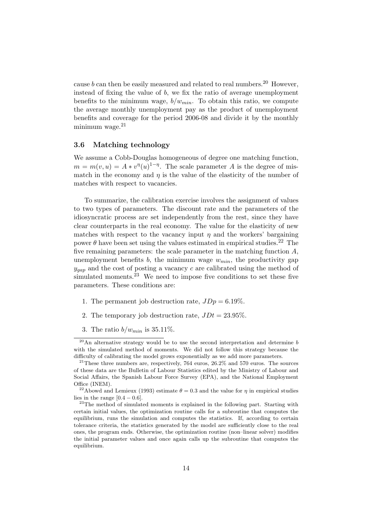cause  $b$  can then be easily measured and related to real numbers.<sup>20</sup> However, instead of fixing the value of *b*, we fix the ratio of average unemployment benefits to the minimum wage,  $b/w_{min}$ . To obtain this ratio, we compute the average monthly unemployment pay as the product of unemployment benefits and coverage for the period 2006-08 and divide it by the monthly minimum wage. $21$ 

## **3.6 Matching technology**

We assume a Cobb-Douglas homogeneous of degree one matching function,  $m = m(v, u) = A * v^{\eta}(u)^{1-\eta}$ . The scale parameter *A* is the degree of mismatch in the economy and  $\eta$  is the value of the elasticity of the number of matches with respect to vacancies.

To summarize, the calibration exercise involves the assignment of values to two types of parameters. The discount rate and the parameters of the idiosyncratic process are set independently from the rest, since they have clear counterparts in the real economy. The value for the elasticity of new matches with respect to the vacancy input  $\eta$  and the workers' bargaining power  $\theta$  have been set using the values estimated in empirical studies.<sup>22</sup> The five remaining parameters: the scale parameter in the matching function *A*, unemployment benefits  $b$ , the minimum wage  $w_{min}$ , the productivity gap  $y_{qap}$  and the cost of posting a vacancy *c* are calibrated using the method of simulated moments.<sup>23</sup> We need to impose five conditions to set these five parameters. These conditions are:

- 1. The permanent job destruction rate,  $JDp = 6.19\%$ .
- 2. The temporary job destruction rate,  $JDt = 23.95\%$ .
- 3. The ratio *b/wmin* is 35*.*11%.

<sup>20</sup>An alternative strategy would be to use the second interpretation and determine *b* with the simulated method of moments. We did not follow this strategy because the difficulty of calibrating the model grows exponentially as we add more parameters.

 $21$ <sup>21</sup>These three numbers are, respectively, 764 euros, 26.2% and 570 euros. The sources of these data are the Bulletin of Labour Statistics edited by the Ministry of Labour and Social Affairs, the Spanish Labour Force Survey (EPA), and the National Employment Office (INEM).

<sup>&</sup>lt;sup>22</sup>Abowd and Lemieux (1993) estimate  $\theta = 0.3$  and the value for  $\eta$  in empirical studies lies in the range  $[0.4 - 0.6]$ .

<sup>&</sup>lt;sup>23</sup>The method of simulated moments is explained in the following part. Starting with certain initial values, the optimization routine calls for a subroutine that computes the equilibrium, runs the simulation and computes the statistics. If, according to certain tolerance criteria, the statistics generated by the model are sufficiently close to the real ones, the program ends. Otherwise, the optimization routine (non–linear solver) modifies the initial parameter values and once again calls up the subroutine that computes the equilibrium.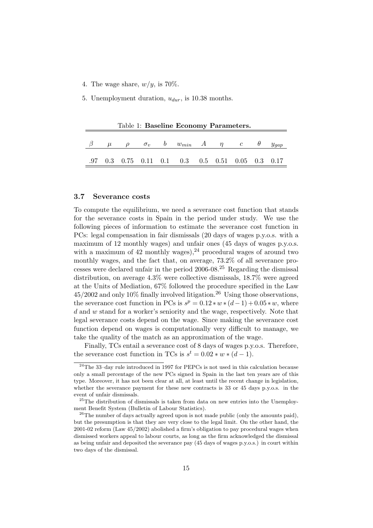4. The wage share, *w/y*, is 70%.

5. Unemployment duration, *udur*, is 10.38 months.

Table 1: **Baseline Economy Parameters.**

|  |  | $\beta$ $\mu$ $\rho$ $\sigma_v$ $b$ $w_{min}$ $A$ $\eta$ $c$ $\theta$ $y_{gap}$                                |  |  |  |
|--|--|----------------------------------------------------------------------------------------------------------------|--|--|--|
|  |  | $.97 \quad 0.3 \quad 0.75 \quad 0.11 \quad 0.1 \quad 0.3 \quad 0.5 \quad 0.51 \quad 0.05 \quad 0.3 \quad 0.17$ |  |  |  |

# **3.7 Severance costs**

To compute the equilibrium, we need a severance cost function that stands for the severance costs in Spain in the period under study. We use the following pieces of information to estimate the severance cost function in PCs: legal compensation in fair dismissals (20 days of wages p.y.o.s. with a maximum of 12 monthly wages) and unfair ones (45 days of wages p.y.o.s. with a maximum of 42 monthly wages),  $^{24}$  procedural wages of around two monthly wages, and the fact that, on average, 73.2% of all severance processes were declared unfair in the period  $2006-08<sup>25</sup>$  Regarding the dismissal distribution, on average 4*.*3% were collective dismissals, 18*.*7% were agreed at the Units of Mediation, 67% followed the procedure specified in the Law  $45/2002$  and only 10% finally involved litigation.<sup>26</sup> Using those observations, the severance cost function in PCs is  $s^p = 0.12 * w * (d-1) + 0.05 * w$ , where *d* and *w* stand for a worker's seniority and the wage, respectively. Note that legal severance costs depend on the wage. Since making the severance cost function depend on wages is computationally very difficult to manage, we take the quality of the match as an approximation of the wage.

Finally, TCs entail a severance cost of 8 days of wages p.y.o.s. Therefore, the severance cost function in TCs is  $s^t = 0.02 * w * (d - 1)$ .

 $24$ The 33-day rule introduced in 1997 for PEPCs is not used in this calculation because only a small percentage of the new PCs signed in Spain in the last ten years are of this type. Moreover, it has not been clear at all, at least until the recent change in legislation, whether the severance payment for these new contracts is 33 or 45 days p.y.o.s. in the event of unfair dismissals.

<sup>25</sup>The distribution of dismissals is taken from data on new entries into the Unemployment Benefit System (Bulletin of Labour Statistics).

<sup>&</sup>lt;sup>26</sup>The number of days actually agreed upon is not made public (only the amounts paid), but the presumption is that they are very close to the legal limit. On the other hand, the 2001-02 reform (Law 45/2002) abolished a firm's obligation to pay procedural wages when dismissed workers appeal to labour courts, as long as the firm acknowledged the dismissal as being unfair and deposited the severance pay (45 days of wages p.y.o.s.) in court within two days of the dismissal.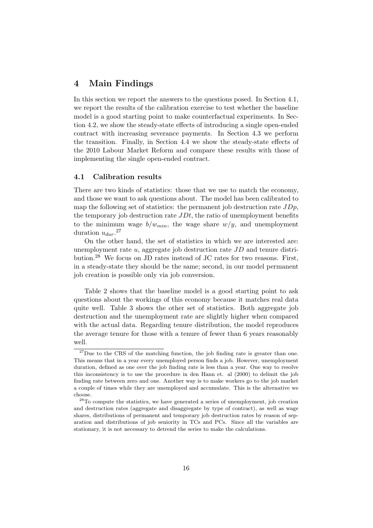# **4 Main Findings**

In this section we report the answers to the questions posed. In Section 4.1, we report the results of the calibration exercise to test whether the baseline model is a good starting point to make counterfactual experiments. In Section 4.2, we show the steady-state effects of introducing a single open-ended contract with increasing severance payments. In Section 4.3 we perform the transition. Finally, in Section 4.4 we show the steady-state effects of the 2010 Labour Market Reform and compare these results with those of implementing the single open-ended contract.

#### **4.1 Calibration results**

There are two kinds of statistics: those that we use to match the economy, and those we want to ask questions about. The model has been calibrated to map the following set of statistics: the permanent job destruction rate *JDp*, the temporary job destruction rate *JDt*, the ratio of unemployment benefits to the minimum wage  $b/w_{min}$ , the wage share  $w/y$ , and unemployment duration  $u_{dur}$ <sup>27</sup>

On the other hand, the set of statistics in which we are interested are: unemployment rate *u*, aggregate job destruction rate *JD* and tenure distribution.<sup>28</sup> We focus on JD rates instead of JC rates for two reasons. First, in a steady-state they should be the same; second, in our model permanent job creation is possible only via job conversion.

Table 2 shows that the baseline model is a good starting point to ask questions about the workings of this economy because it matches real data quite well. Table 3 shows the other set of statistics. Both aggregate job destruction and the unemployment rate are slightly higher when compared with the actual data. Regarding tenure distribution, the model reproduces the average tenure for those with a tenure of fewer than 6 years reasonably well.

<sup>&</sup>lt;sup>27</sup>Due to the CRS of the matching function, the job finding rate is greater than one. This means that in a year every unemployed person finds a job. However, unemployment duration, defined as one over the job finding rate is less than a year. One way to resolve this inconsistency is to use the procedure in den Hann et. al (2000) to delimit the job finding rate between zero and one. Another way is to make workers go to the job market a couple of times while they are unemployed and accumulate. This is the alternative we choose.

<sup>28</sup>To compute the statistics, we have generated a series of unemployment, job creation and destruction rates (aggregate and disaggregate by type of contract), as well as wage shares, distributions of permanent and temporary job destruction rates by reason of separation and distributions of job seniority in TCs and PCs. Since all the variables are stationary, it is not necessary to detrend the series to make the calculations.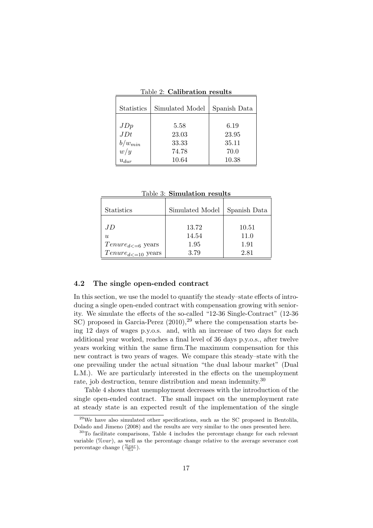| Statistics                                         | Simulated Model                          | Spanish Data                            |
|----------------------------------------------------|------------------------------------------|-----------------------------------------|
| JDp<br>JDt<br>$\frac{b/w_{min}}{w/y}$<br>$u_{dur}$ | 5.58<br>23.03<br>33.33<br>74.78<br>10.64 | 6.19<br>23.95<br>35.11<br>70.0<br>10.38 |

Table 2: **Calibration results**

Table 3: **Simulation results**

| <b>Statistics</b>          | Simulated Model | Spanish Data |
|----------------------------|-----------------|--------------|
| JD.                        | 13.72           | 10.51        |
| U                          | 14.54           | 11.0         |
| $Tenure_{d \leq 6}$ years  | 1.95            | 1.91         |
| $Tenure_{d \leq 10}$ years | 3.79            | 2.81         |

## **4.2 The single open-ended contract**

In this section, we use the model to quantify the steady–state effects of introducing a single open-ended contract with compensation growing with seniority. We simulate the effects of the so-called "12-36 Single-Contract" (12-36  $SC$ ) proposed in Garcia-Perez  $(2010)$ ,<sup>29</sup> where the compensation starts being 12 days of wages p.y.o.s. and, with an increase of two days for each additional year worked, reaches a final level of 36 days p.y.o.s., after twelve years working within the same firm.The maximum compensation for this new contract is two years of wages. We compare this steady–state with the one prevailing under the actual situation "the dual labour market" (Dual L.M.). We are particularly interested in the effects on the unemployment rate, job destruction, tenure distribution and mean indemnity.<sup>30</sup>

Table 4 shows that unemployment decreases with the introduction of the single open-ended contract. The small impact on the unemployment rate at steady state is an expected result of the implementation of the single

 $^{29}$ We have also simulated other specifications, such as the SC proposed in Bentolila, Dolado and Jimeno (2008) and the results are very similar to the ones presented here.

<sup>30</sup>To facilitate comparisons, Table 4 includes the percentage change for each relevant variable (%*var*), as well as the percentage change relative to the average severance cost percentage change  $(\frac{\%{var}}{\%s})$ .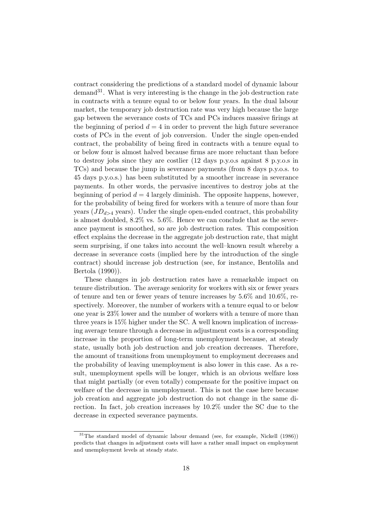contract considering the predictions of a standard model of dynamic labour  $\rm{demand}^{31}$ . What is very interesting is the change in the job destruction rate in contracts with a tenure equal to or below four years. In the dual labour market, the temporary job destruction rate was very high because the large gap between the severance costs of TCs and PCs induces massive firings at the beginning of period  $d = 4$  in order to prevent the high future severance costs of PCs in the event of job conversion. Under the single open-ended contract, the probability of being fired in contracts with a tenure equal to or below four is almost halved because firms are more reluctant than before to destroy jobs since they are costlier (12 days p.y.o.s against 8 p.y.o.s in TCs) and because the jump in severance payments (from 8 days p.y.o.s. to 45 days p.y.o.s.) has been substituted by a smoother increase in severance payments. In other words, the pervasive incentives to destroy jobs at the beginning of period  $d = 4$  largely diminish. The opposite happens, however, for the probability of being fired for workers with a tenure of more than four years  $(JD_{d>4}$  years). Under the single open-ended contract, this probability is almost doubled, 8*.*2% vs. 5*.*6%. Hence we can conclude that as the severance payment is smoothed, so are job destruction rates. This composition effect explains the decrease in the aggregate job destruction rate, that might seem surprising, if one takes into account the well–known result whereby a decrease in severance costs (implied here by the introduction of the single contract) should increase job destruction (see, for instance, Bentolila and Bertola (1990)).

These changes in job destruction rates have a remarkable impact on tenure distribution. The average seniority for workers with six or fewer years of tenure and ten or fewer years of tenure increases by 5*.*6% and 10*.*6%, respectively. Moreover, the number of workers with a tenure equal to or below one year is 23% lower and the number of workers with a tenure of more than three years is 15% higher under the SC. A well known implication of increasing average tenure through a decrease in adjustment costs is a corresponding increase in the proportion of long-term unemployment because, at steady state, usually both job destruction and job creation decreases. Therefore, the amount of transitions from unemployment to employment decreases and the probability of leaving unemployment is also lower in this case. As a result, unemployment spells will be longer, which is an obvious welfare loss that might partially (or even totally) compensate for the positive impact on welfare of the decrease in unemployment. This is not the case here because job creation and aggregate job destruction do not change in the same direction. In fact, job creation increases by 10*.*2% under the SC due to the decrease in expected severance payments.

<sup>&</sup>lt;sup>31</sup>The standard model of dynamic labour demand (see, for example, Nickell (1986)) predicts that changes in adjustment costs will have a rather small impact on employment and unemployment levels at steady state.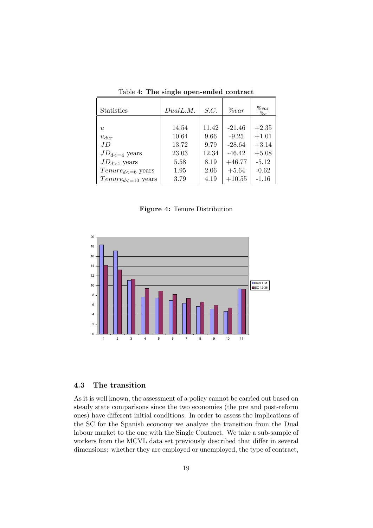| <b>Statistics</b>          | DualL.M. | S.C.  | $\%var$  | $\%var$<br>$\%s$ |
|----------------------------|----------|-------|----------|------------------|
|                            |          |       |          |                  |
| $\overline{u}$             | 14.54    | 11.42 | $-21.46$ | $+2.35$          |
| $u_{dur}$                  | 10.64    | 9.66  | $-9.25$  | $+1.01$          |
| .ID                        | 13.72    | 9.79  | $-28.64$ | $+3.14$          |
| $JD_{d \ltq 4}$ years      | 23.03    | 12.34 | $-46.42$ | $+5.08$          |
| $JD_{d>4}$ years           | 5.58     | 8.19  | $+46.77$ | $-5.12$          |
| $Tenure_{d<=6}$ years      | 1.95     | 2.06  | $+5.64$  | $-0.62$          |
| $Tenure_{d \leq 10}$ years | 3.79     | 4.19  | $+10.55$ | $-1.16$          |

Table 4: **The single open-ended contract**

**Figure 4:** Tenure Distribution



# **4.3 The transition**

As it is well known, the assessment of a policy cannot be carried out based on steady state comparisons since the two economies (the pre and post-reform ones) have different initial conditions. In order to assess the implications of the SC for the Spanish economy we analyze the transition from the Dual labour market to the one with the Single Contract. We take a sub-sample of workers from the MCVL data set previously described that differ in several dimensions: whether they are employed or unemployed, the type of contract,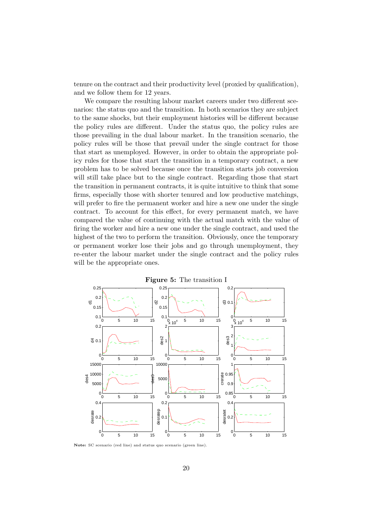tenure on the contract and their productivity level (proxied by qualification), and we follow them for 12 years.

We compare the resulting labour market careers under two different scenarios: the status quo and the transition. In both scenarios they are subject to the same shocks, but their employment histories will be different because the policy rules are different. Under the status quo, the policy rules are those prevailing in the dual labour market. In the transition scenario, the policy rules will be those that prevail under the single contract for those that start as unemployed. However, in order to obtain the appropriate policy rules for those that start the transition in a temporary contract, a new problem has to be solved because once the transition starts job conversion will still take place but to the single contract. Regarding those that start the transition in permanent contracts, it is quite intuitive to think that some firms, especially those with shorter tenured and low productive matchings, will prefer to fire the permanent worker and hire a new one under the single contract. To account for this effect, for every permanent match, we have compared the value of continuing with the actual match with the value of firing the worker and hire a new one under the single contract, and used the highest of the two to perform the transition. Obviously, once the temporary or permanent worker lose their jobs and go through unemployment, they re-enter the labour market under the single contract and the policy rules will be the appropriate ones.



**Note:** SC scenario (red line) and status quo scenario (green line).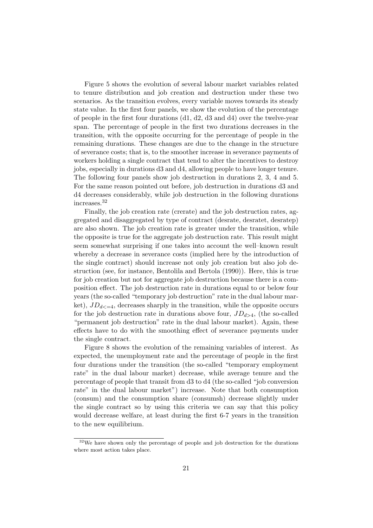Figure 5 shows the evolution of several labour market variables related to tenure distribution and job creation and destruction under these two scenarios. As the transition evolves, every variable moves towards its steady state value. In the first four panels, we show the evolution of the percentage of people in the first four durations (d1, d2, d3 and d4) over the twelve-year span. The percentage of people in the first two durations decreases in the transition, with the opposite occurring for the percentage of people in the remaining durations. These changes are due to the change in the structure of severance costs; that is, to the smoother increase in severance payments of workers holding a single contract that tend to alter the incentives to destroy jobs, especially in durations d3 and d4, allowing people to have longer tenure. The following four panels show job destruction in durations 2, 3, 4 and 5. For the same reason pointed out before, job destruction in durations d3 and d4 decreases considerably, while job destruction in the following durations increases.<sup>32</sup>

Finally, the job creation rate (crerate) and the job destruction rates, aggregated and disaggregated by type of contract (desrate, desratet, desratep) are also shown. The job creation rate is greater under the transition, while the opposite is true for the aggregate job destruction rate. This result might seem somewhat surprising if one takes into account the well–known result whereby a decrease in severance costs (implied here by the introduction of the single contract) should increase not only job creation but also job destruction (see, for instance, Bentolila and Bertola (1990)). Here, this is true for job creation but not for aggregate job destruction because there is a composition effect. The job destruction rate in durations equal to or below four years (the so-called "temporary job destruction" rate in the dual labour market),  $JD_{d \leq -4}$ , decreases sharply in the transition, while the opposite occurs for the job destruction rate in durations above four,  $JD_{d>4}$ , (the so-called "permanent job destruction" rate in the dual labour market). Again, these effects have to do with the smoothing effect of severance payments under the single contract.

Figure 8 shows the evolution of the remaining variables of interest. As expected, the unemployment rate and the percentage of people in the first four durations under the transition (the so-called "temporary employment rate" in the dual labour market) decrease, while average tenure and the percentage of people that transit from d3 to d4 (the so-called "job conversion rate" in the dual labour market") increase. Note that both consumption (consum) and the consumption share (consumsh) decrease slightly under the single contract so by using this criteria we can say that this policy would decrease welfare, at least during the first 6-7 years in the transition to the new equilibrium.

 $32\text{We have shown only the percentage of people and job destruction for the durations}$ where most action takes place.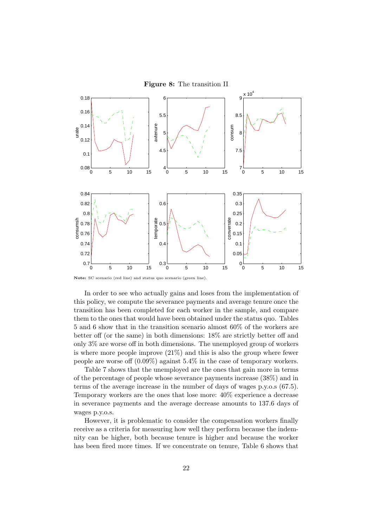



**Note:** SC scenario (red line) and status quo scenario (green line).

In order to see who actually gains and loses from the implementation of this policy, we compute the severance payments and average tenure once the transition has been completed for each worker in the sample, and compare them to the ones that would have been obtained under the status quo. Tables 5 and 6 show that in the transition scenario almost 60% of the workers are better off (or the same) in both dimensions: 18% are strictly better off and only 3% are worse off in both dimensions. The unemployed group of workers is where more people improve (21%) and this is also the group where fewer people are worse off (0.09%) against 5.4% in the case of temporary workers.

Table 7 shows that the unemployed are the ones that gain more in terms of the percentage of people whose severance payments increase (38%) and in terms of the average increase in the number of days of wages p.y.o.s (67.5). Temporary workers are the ones that lose more: 40% experience a decrease in severance payments and the average decrease amounts to 137.6 days of wages p.y.o.s.

However, it is problematic to consider the compensation workers finally receive as a criteria for measuring how well they perform because the indemnity can be higher, both because tenure is higher and because the worker has been fired more times. If we concentrate on tenure, Table 6 shows that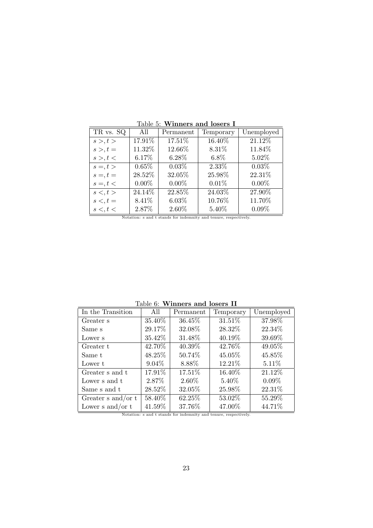| TR vs. SQ      | All      | Permanent | Temporary | Unemployed |
|----------------|----------|-----------|-----------|------------|
| s >, t >       | 17.91%   | 17.51%    | 16.40%    | 21.12%     |
| $s >, t =$     | 11.32%   | 12.66%    | 8.31%     | 11.84%     |
| s >, t <       | 6.17%    | 6.28%     | $6.8\%$   | 5.02%      |
| $s =, t >$     | $0.65\%$ | $0.03\%$  | 2.33%     | $0.03\%$   |
| $s =, t =$     | 28.52%   | 32.05%    | 25.98%    | 22.31%     |
| $s =, t <$     | $0.00\%$ | $0.00\%$  | 0.01%     | $0.00\%$   |
| $s \lt, t \gt$ | 24.14%   | 22.85%    | 24.03%    | 27.90%     |
| $s <, t =$     | 8.41\%   | $6.03\%$  | 10.76%    | 11.70%     |
| s <, t <       | 2.87%    | 2.60%     | 5.40%     | $0.09\%$   |

Table 5: **Winners and losers I**

Notation: s and t stands for indemnity and tenure, respectively.

| Table 6:<br>Winners and losers II |           |           |           |            |  |  |  |  |  |
|-----------------------------------|-----------|-----------|-----------|------------|--|--|--|--|--|
| In the Transition                 | All       | Permanent | Temporary | Unemployed |  |  |  |  |  |
| Greater s                         | 35.40\%   | 36.45%    | 31.51%    | 37.98%     |  |  |  |  |  |
| Same s                            | 29.17\%   | 32.08%    | 28.32%    | 22.34%     |  |  |  |  |  |
| Lower s                           | $35.42\%$ | 31.48%    | 40.19%    | 39.69%     |  |  |  |  |  |
| Greater t                         | 42.70%    | 40.39%    | 42.76%    | 49.05%     |  |  |  |  |  |
| Same t                            | 48.25\%   | 50.74%    | 45.05%    | 45.85%     |  |  |  |  |  |
| Lower t                           | $9.04\%$  | 8.88%     | 12.21\%   | $5.11\%$   |  |  |  |  |  |
| Greater s and t                   | 17.91%    | 17.51%    | 16.40%    | 21.12%     |  |  |  |  |  |
| Lower s and t                     | 2.87\%    | 2.60%     | 5.40\%    | $0.09\%$   |  |  |  |  |  |
| Same s and t                      | 28.52\%   | 32.05%    | 25.98%    | 22.31%     |  |  |  |  |  |
| Greater $s$ and/or $t$            | 58.40%    | 62.25%    | 53.02%    | 55.29%     |  |  |  |  |  |
| Lower $s$ and/or $t$              | 41.59%    | 37.76%    | 47.00%    | 44.71%     |  |  |  |  |  |

Table 6: **Winners and losers II**

Notation: s and t stands for indemnity and tenure, respectively.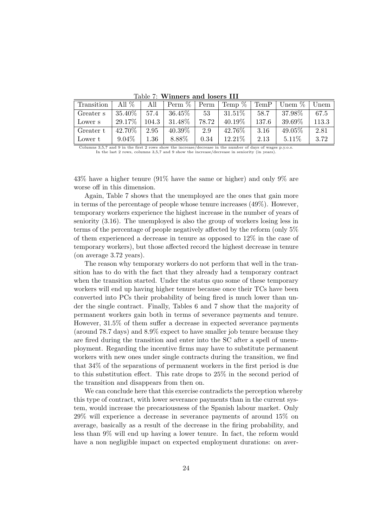| Transition | All $%$   | All      | Perm $%$  | Perm  | Temp $\%$ | Temp  | Unem $%$  | Unem  |
|------------|-----------|----------|-----------|-------|-----------|-------|-----------|-------|
| Greater s  | $35.40\%$ | 57.4     | $36.45\%$ | 53    | $31.51\%$ | 58.7  | 37.98%    | 67.5  |
| Lower s    | 29.17\%   | 104.3    | 31.48%    | 78.72 | $40.19\%$ | 137.6 | 39.69%    | 113.3 |
| Greater t  | 42.70\%   | 2.95     | 40.39%    | 2.9   | 42.76\%   | 3.16  | $49.05\%$ | 2.81  |
| Lower t    | $9.04\%$  | $1.36\,$ | 8.88%     | 0.34  | 12.21\%   | 2.13  | $5.11\%$  | 3.72  |

Table 7: **Winners and losers III**

Columns 3,5,7 and 9 in the first 2 rows show the increase/decrease in the number of days of wages p.y.o.s. In the last 2 rows, columns 3,5,7 and 9 show the increase/decrease in seniority (in years).

43% have a higher tenure (91% have the same or higher) and only 9% are worse off in this dimension.

Again, Table 7 shows that the unemployed are the ones that gain more in terms of the percentage of people whose tenure increases (49%). However, temporary workers experience the highest increase in the number of years of seniority (3.16). The unemployed is also the group of workers losing less in terms of the percentage of people negatively affected by the reform (only 5% of them experienced a decrease in tenure as opposed to 12% in the case of temporary workers), but those affected record the highest decrease in tenure (on average 3.72 years).

The reason why temporary workers do not perform that well in the transition has to do with the fact that they already had a temporary contract when the transition started. Under the status quo some of these temporary workers will end up having higher tenure because once their TCs have been converted into PCs their probability of being fired is much lower than under the single contract. Finally, Tables 6 and 7 show that the majority of permanent workers gain both in terms of severance payments and tenure. However, 31.5% of them suffer a decrease in expected severance payments (around 78.7 days) and 8.9% expect to have smaller job tenure because they are fired during the transition and enter into the SC after a spell of unemployment. Regarding the incentive firms may have to substitute permanent workers with new ones under single contracts during the transition, we find that 34% of the separations of permanent workers in the first period is due to this substitution effect. This rate drops to 25% in the second period of the transition and disappears from then on.

We can conclude here that this exercise contradicts the perception whereby this type of contract, with lower severance payments than in the current system, would increase the precariousness of the Spanish labour market. Only 29% will experience a decrease in severance payments of around 15% on average, basically as a result of the decrease in the firing probability, and less than 9% will end up having a lower tenure. In fact, the reform would have a non negligible impact on expected employment durations: on aver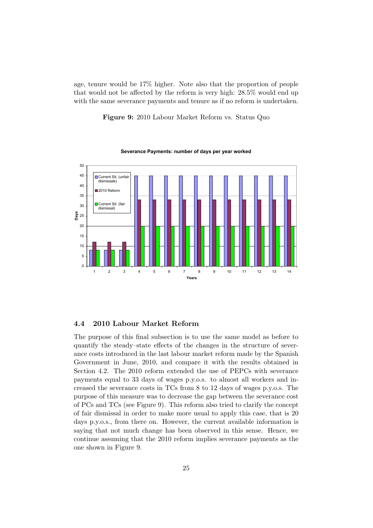age, tenure would be 17% higher. Note also that the proportion of people that would not be affected by the reform is very high: 28*.*5% would end up with the same severance payments and tenure as if no reform is undertaken.

**Figure 9:** 2010 Labour Market Reform vs. Status Quo



**Severance Payments: number of days per year worked**

#### **4.4 2010 Labour Market Reform**

The purpose of this final subsection is to use the same model as before to quantify the steady–state effects of the changes in the structure of severance costs introduced in the last labour market reform made by the Spanish Government in June, 2010, and compare it with the results obtained in Section 4.2. The 2010 reform extended the use of PEPCs with severance payments equal to 33 days of wages p.y.o.s. to almost all workers and increased the severance costs in TCs from 8 to 12 days of wages p.y.o.s. The purpose of this measure was to decrease the gap between the severance cost of PCs and TCs (see Figure 9). This reform also tried to clarify the concept of fair dismissal in order to make more usual to apply this case, that is 20 days p.y.o.s., from there on. However, the current available information is saying that not much change has been observed in this sense. Hence, we continue assuming that the 2010 reform implies severance payments as the one shown in Figure 9.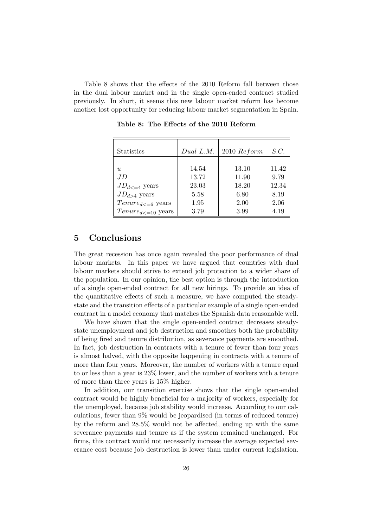Table 8 shows that the effects of the 2010 Reform fall between those in the dual labour market and in the single open-ended contract studied previously. In short, it seems this new labour market reform has become another lost opportunity for reducing labour market segmentation in Spain.

| <b>Statistics</b>          | Dual $L.M.$ | $2010\;Reform$ | S.C.  |
|----------------------------|-------------|----------------|-------|
| $\overline{u}$             | 14.54       | 13.10          | 11.42 |
| .I D                       | 13.72       | 11.90          | 9.79  |
| $JD_{d \ltq 4}$ years      | 23.03       | 18.20          | 12.34 |
| $JD_{d>4}$ years           | 5.58        | 6.80           | 8.19  |
| $Tenure_{d<=6}$ years      | 1.95        | 2.00           | 2.06  |
| $Tenure_{d \leq 10}$ years | 3.79        | 3.99           | 4.19  |

**Table 8: The Effects of the 2010 Reform**

# **5 Conclusions**

The great recession has once again revealed the poor performance of dual labour markets. In this paper we have argued that countries with dual labour markets should strive to extend job protection to a wider share of the population. In our opinion, the best option is through the introduction of a single open-ended contract for all new hirings. To provide an idea of the quantitative effects of such a measure, we have computed the steadystate and the transition effects of a particular example of a single open-ended contract in a model economy that matches the Spanish data reasonable well.

We have shown that the single open-ended contract decreases steadystate unemployment and job destruction and smoothes both the probability of being fired and tenure distribution, as severance payments are smoothed. In fact, job destruction in contracts with a tenure of fewer than four years is almost halved, with the opposite happening in contracts with a tenure of more than four years. Moreover, the number of workers with a tenure equal to or less than a year is 23% lower, and the number of workers with a tenure of more than three years is 15% higher.

In addition, our transition exercise shows that the single open-ended contract would be highly beneficial for a majority of workers, especially for the unemployed, because job stability would increase. According to our calculations, fewer than 9% would be jeopardised (in terms of reduced tenure) by the reform and 28*.*5% would not be affected, ending up with the same severance payments and tenure as if the system remained unchanged. For firms, this contract would not necessarily increase the average expected severance cost because job destruction is lower than under current legislation.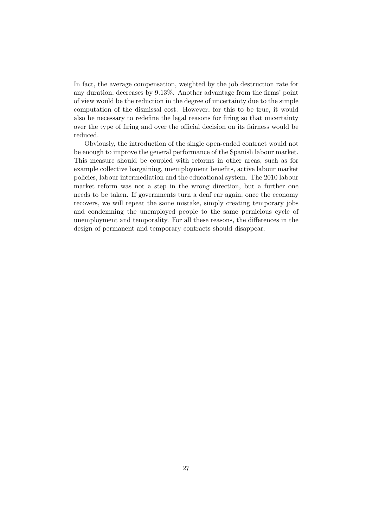In fact, the average compensation, weighted by the job destruction rate for any duration, decreases by 9*.*13%. Another advantage from the firms' point of view would be the reduction in the degree of uncertainty due to the simple computation of the dismissal cost. However, for this to be true, it would also be necessary to redefine the legal reasons for firing so that uncertainty over the type of firing and over the official decision on its fairness would be reduced.

Obviously, the introduction of the single open-ended contract would not be enough to improve the general performance of the Spanish labour market. This measure should be coupled with reforms in other areas, such as for example collective bargaining, unemployment benefits, active labour market policies, labour intermediation and the educational system. The 2010 labour market reform was not a step in the wrong direction, but a further one needs to be taken. If governments turn a deaf ear again, once the economy recovers, we will repeat the same mistake, simply creating temporary jobs and condemning the unemployed people to the same pernicious cycle of unemployment and temporality. For all these reasons, the differences in the design of permanent and temporary contracts should disappear.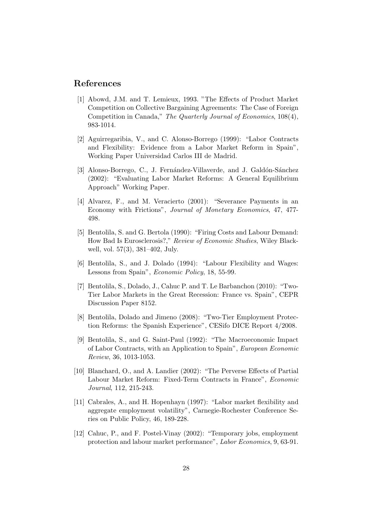# **References**

- [1] Abowd, J.M. and T. Lemieux, 1993. "The Effects of Product Market Competition on Collective Bargaining Agreements: The Case of Foreign Competition in Canada," *The Quarterly Journal of Economics*, 108(4), 983-1014.
- [2] Aguirregaribia, V., and C. Alonso-Borrego (1999): "Labor Contracts and Flexibility: Evidence from a Labor Market Reform in Spain", Working Paper Universidad Carlos III de Madrid.
- [3] Alonso-Borrego, C., J. Fernández-Villaverde, and J. Galdón-Sánchez (2002): "Evaluating Labor Market Reforms: A General Equilibrium Approach" Working Paper.
- [4] Alvarez, F., and M. Veracierto (2001): "Severance Payments in an Economy with Frictions", *Journal of Monetary Economics*, 47, 477- 498.
- [5] Bentolila, S. and G. Bertola (1990): "Firing Costs and Labour Demand: How Bad Is Eurosclerosis?," *Review of Economic Studies*, Wiley Blackwell, vol. 57(3), 381–402, July.
- [6] Bentolila, S., and J. Dolado (1994): "Labour Flexibility and Wages: Lessons from Spain", *Economic Policy*, 18, 55-99.
- [7] Bentolila, S., Dolado, J., Cahuc P. and T. Le Barbanchon (2010): "Two-Tier Labor Markets in the Great Recession: France vs. Spain", CEPR Discussion Paper 8152.
- [8] Bentolila, Dolado and Jimeno (2008): "Two-Tier Employment Protection Reforms: the Spanish Experience", CESifo DICE Report 4/2008.
- [9] Bentolila, S., and G. Saint-Paul (1992): "The Macroeconomic Impact of Labor Contracts, with an Application to Spain", *European Economic Review*, 36, 1013-1053.
- [10] Blanchard, O., and A. Landier (2002): "The Perverse Effects of Partial Labour Market Reform: Fixed-Term Contracts in France", *Economic Journal*, 112, 215-243.
- [11] Cabrales, A., and H. Hopenhayn (1997): "Labor market flexibility and aggregate employment volatility", Carnegie-Rochester Conference Series on Public Policy, 46, 189-228.
- [12] Cahuc, P., and F. Postel-Vinay (2002): "Temporary jobs, employment protection and labour market performance", *Labor Economics*, 9, 63-91.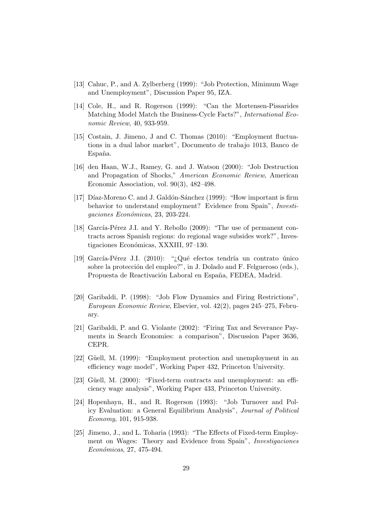- [13] Cahuc, P., and A. Zylberberg (1999): "Job Protection, Minimum Wage and Unemployment", Discussion Paper 95, IZA.
- [14] Cole, H., and R. Rogerson (1999): "Can the Mortensen-Pissarides Matching Model Match the Business-Cycle Facts?", *International Economic Review*, 40, 933-959.
- [15] Costain, J. Jimeno, J and C. Thomas (2010): "Employment fluctuations in a dual labor market", Documento de trabajo 1013, Banco de España.
- [16] den Haan, W.J., Ramey, G. and J. Watson (2000): "Job Destruction and Propagation of Shocks," *American Economic Review*, American Economic Association, vol. 90(3), 482–498.
- [17] Díaz-Moreno C. and J. Galdón-Sánchez (1999): "How important is firm behavior to understand employment? Evidence from Spain", *Investigaciones Econ´omicas*, 23, 203-224.
- [18] García-Pérez J.I. and Y. Rebollo  $(2009)$ : "The use of permanent contracts across Spanish regions: do regional wage subsides work?", Investigaciones Económicas, XXXIII, 97-130.
- [19] García-Pérez J.I. (2010): "*i*Qué efectos tendría un contrato único sobre la protección del empleo?", in J. Dolado and F. Felgueroso (eds.), Propuesta de Reactivación Laboral en España, FEDEA, Madrid.
- [20] Garibaldi, P. (1998): "Job Flow Dynamics and Firing Restrictions", *European Economic Review*, Elsevier, vol. 42(2), pages 245–275, February.
- [21] Garibaldi, P. and G. Violante (2002): "Firing Tax and Severance Payments in Search Economies: a comparison", Discussion Paper 3636, CEPR.
- [22] Güell, M. (1999): "Employment protection and unemployment in an efficiency wage model", Working Paper 432, Princeton University.
- [23] Güell, M. (2000): "Fixed-term contracts and unemployment: an efficiency wage analysis", Working Paper 433, Princeton University.
- [24] Hopenhayn, H., and R. Rogerson (1993): "Job Turnover and Policy Evaluation: a General Equilibrium Analysis", *Journal of Political Economy*, 101, 915-938.
- [25] Jimeno, J., and L. Toharia (1993): "The Effects of Fixed-term Employment on Wages: Theory and Evidence from Spain", *Investigaciones Econ´omicas*, 27, 475-494.